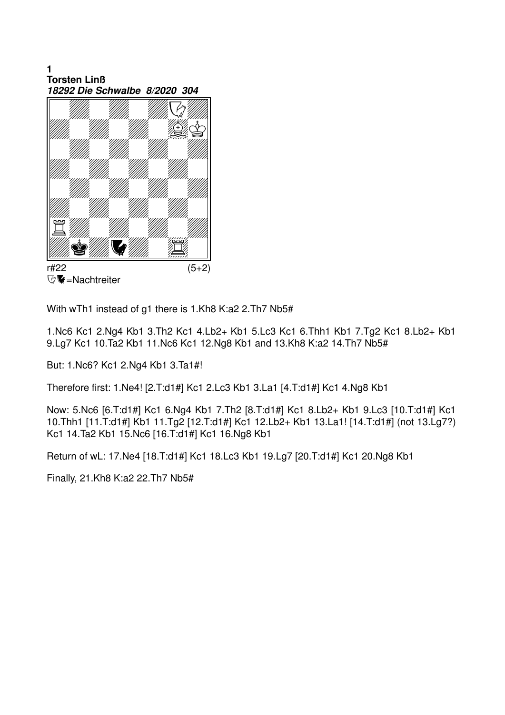$\blacksquare$ **Torsten Linß** 18292 Die Schwalbe 8/2020 304



**V** = Nachtreiter

With wTh1 instead of g1 there is 1.Kh8 K:a2 2.Th7 Nb5#

1.Nc6 Kc1 2.Ng4 Kb1 3.Th2 Kc1 4.Lb2+ Kb1 5.Lc3 Kc1 6.Thh1 Kb1 7.Tg2 Kc1 8.Lb2+ Kb1 9.Lg7 Kc1 10.Ta2 Kb1 11.Nc6 Kc1 12.Ng8 Kb1 and 13.Kh8 K:a2 14.Th7 Nb5#

But: 1.Nc6? Kc1 2.Ng4 Kb1 3.Ta1#!

Therefore first: 1. Ne4! [2. T:d1#] Kc1 2. Lc3 Kb1 3. La1 [4. T:d1#] Kc1 4. Ng8 Kb1

Now: 5.Nc6 [6.T:d1#] Kc1 6.Ng4 Kb1 7.Th2 [8.T:d1#] Kc1 8.Lb2+ Kb1 9.Lc3 [10.T:d1#] Kc1 10. Thh1 [11. T:d1#] Kb1 11. Tg2 [12. T:d1#] Kc1 12. Lb2+ Kb1 13. La1! [14. T:d1#] (not 13. Lg 7?) Kc1 14.Ta2 Kb1 15.Nc6 [16.T:d1#] Kc1 16.Ng8 Kb1

Return of wL: 17. Ne4 [18. T:d1#] Kc1 18. Lc3 Kb1 19. Lg7 [20. T:d1#] Kc1 20. Ng8 Kb1

Finally, 21.Kh8 K:a2 22.Th7 Nb5#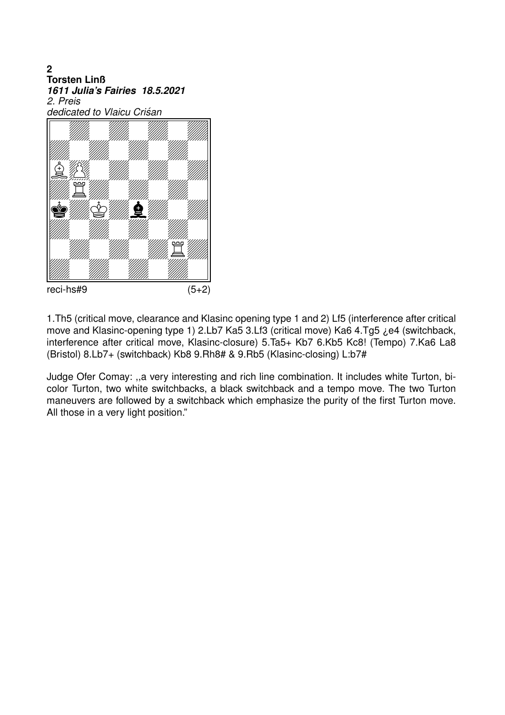$\overline{2}$ **Torsten Linß** 1611 Julia's Fairies 18.5.2021 2. Preis dedicated to Vlaicu Criśan



reci-hs#9

 $(5+2)$ 

1. Th5 (critical move, clearance and Klasinc opening type 1 and 2) Lf5 (interference after critical move and Klasinc-opening type 1) 2.Lb7 Ka5 3.Lf3 (critical move) Ka6 4.Tg5 ¿e4 (switchback, interference after critical move, Klasinc-closure) 5.Ta5+ Kb7 6.Kb5 Kc8! (Tempo) 7.Ka6 La8 (Bristol) 8.Lb7+ (switchback) Kb8 9.Rh8# & 9.Rb5 (Klasinc-closing) L:b7#

Judge Ofer Comay: "a very interesting and rich line combination. It includes white Turton, bicolor Turton, two white switchbacks, a black switchback and a tempo move. The two Turton maneuvers are followed by a switchback which emphasize the purity of the first Turton move. All those in a very light position."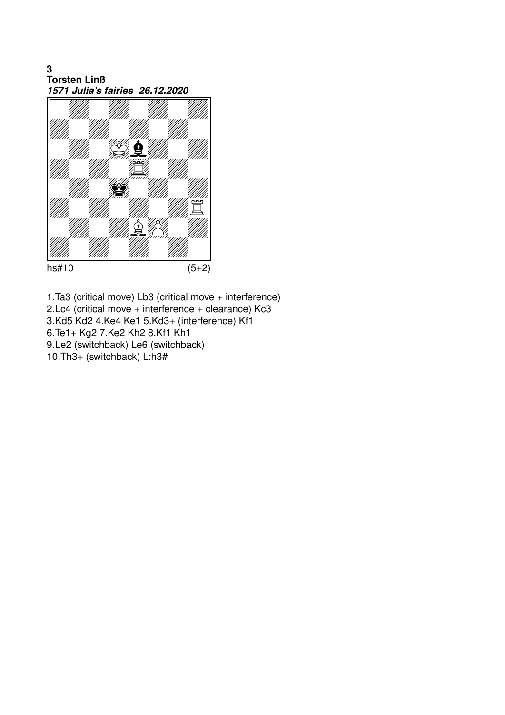3 **Torsten Linß** 1571 Julia's fairies 26.12.2020



 $hs#10$ 

 $(5+2)$ 

1.Ta3 (critical move) Lb3 (critical move + interference) 2.Lc4 (critical move + interference + clearance) Kc3 3.Kd5 Kd2 4.Ke4 Ke1 5.Kd3+ (interference) Kf1 6. Te1+ Kg2 7. Ke2 Kh2 8. Kf1 Kh1 9.Le2 (switchback) Le6 (switchback) 10.Th3+ (switchback) L:h3#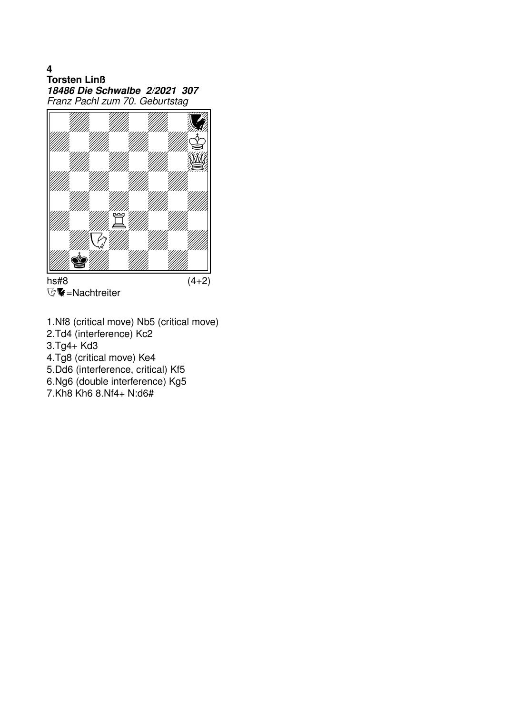$\overline{\mathbf{4}}$ **Torsten Linß** 18486 Die Schwalbe 2/2021 307 Franz Pachl zum 70. Geburtstag



 $hs#8$ **V** = Nachtreiter  $(4+2)$ 

- 1.Nf8 (critical move) Nb5 (critical move)
- 2.Td4 (interference) Kc2

 $3.Tg4+Kd3$ 

4.Tg8 (critical move) Ke4

5.Dd6 (interference, critical) Kf5

6.Ng6 (double interference) Kg5

7.Kh8 Kh6 8.Nf4+ N:d6#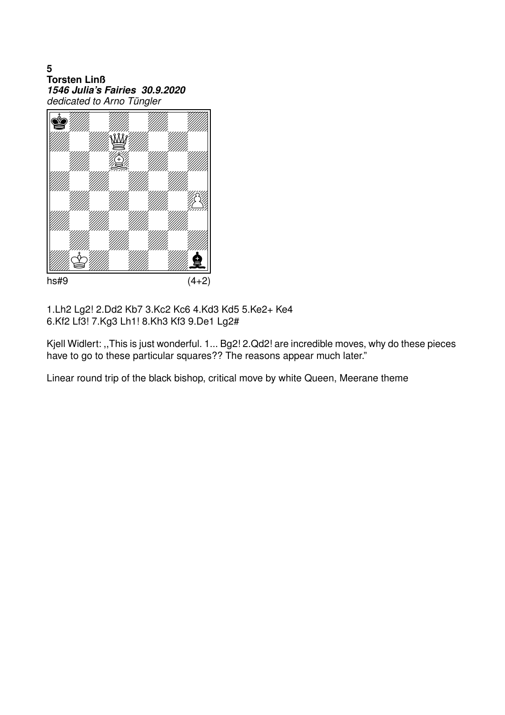5 **Torsten Linß** 1546 Julia's Fairies 30.9.2020 dedicated to Arno Tüngler



 $hs#9$ 

 $(4+2)$ 

1.Lh2 Lg2! 2.Dd2 Kb7 3.Kc2 Kc6 4.Kd3 Kd5 5.Ke2+ Ke4 6.Kf2 Lf3! 7.Kg3 Lh1! 8.Kh3 Kf3 9.De1 Lg2#

Kjell Widlert: "This is just wonderful. 1... Bg2! 2.Qd2! are incredible moves, why do these pieces have to go to these particular squares?? The reasons appear much later."

Linear round trip of the black bishop, critical move by white Queen, Meerane theme